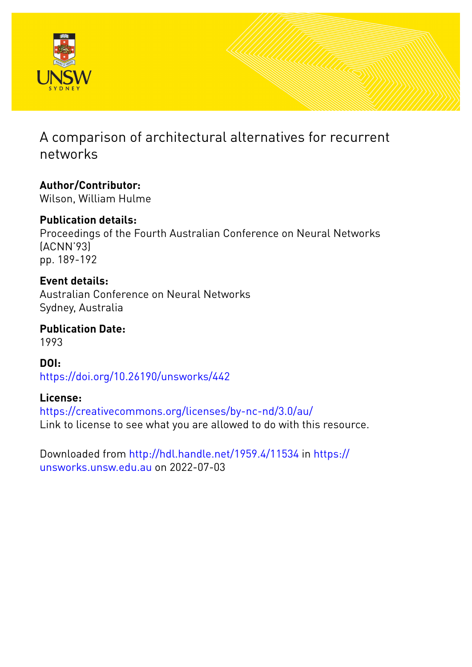

# A comparison of architectural alternatives for recurrent networks

# **Author/Contributor:**

Wilson, William Hulme

## **Publication details:**

Proceedings of the Fourth Australian Conference on Neural Networks (ACNN'93) pp. 189-192

## **Event details:**

Australian Conference on Neural Networks Sydney, Australia

**Publication Date:** 1993

**DOI:** [https://doi.org/10.26190/unsworks/442](http://dx.doi.org/https://doi.org/10.26190/unsworks/442)

## **License:**

<https://creativecommons.org/licenses/by-nc-nd/3.0/au/> Link to license to see what you are allowed to do with this resource.

Downloaded from <http://hdl.handle.net/1959.4/11534> in [https://](https://unsworks.unsw.edu.au) [unsworks.unsw.edu.au](https://unsworks.unsw.edu.au) on 2022-07-03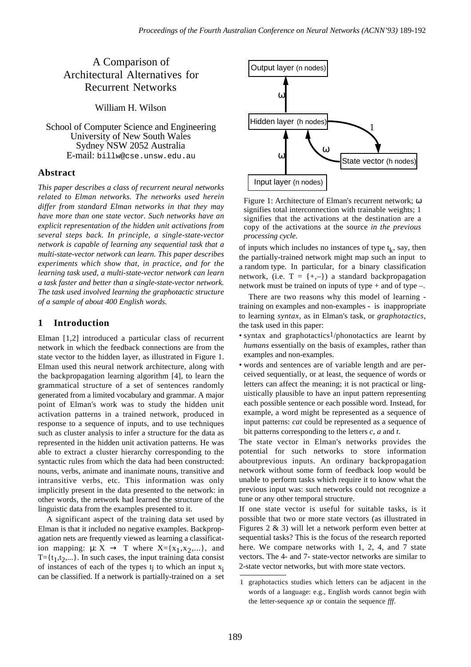### A Comparison of Architectural Alternatives for Recurrent Networks

William H. Wilson

School of Computer Science and Engineering University of New South Wales Sydney NSW 2052 Australia E-mail: billw@cse.unsw.edu.au

### **Abstract**

*This paper describes a class of recurrent neural networks related to Elman networks. The networks used herein* Figure 1: Architecture of Elman's recurrent network; ω<br>differ from standard Elman networks in that they may about the teach intersecution with traineble weighted 1. *differ from standard Elman networks in that they may* signifies total interconnection with trainable weights; 1<br>have more than one state vector. Such networks have an signifies that the activations at the destination are *have more than one state vector. Such networks have an* signifies that the activations at the destination are a *several steps back. In principle, a single-state-vector processing cycle. network is capable of learning any sequential task that a* of inputs which includes no instances of type  $t_k$ , say, then *multi-state-vector network can learn. This paper describes* be partially-trained network might map *multi-state-vector network can learn. This paper describes a task faster and better than a single-state-vector network.* network must be trained on inputs of type + and of type –.<br>The task used involved learning the graphotactic structure

*humans* essentially on the basis of examples, rather than state vector to the hidden layer as illustrated in Figure 1 examples and non-examples. state vector to the hidden layer, as illustrated in Figure 1. The examples and non-examples.<br>Elman used this neural network architecture, along with vords and sentences are of variable length and are per-Elman used this neural network architecture, along with the backpropagation learning algorithm [4], to learn the ceived sequentially, or at least, the sequence of words or grammatical structure of a set of sentences randomly letters can affect the meaning; it is not practical or linggenerated from a limited vocabulary and grammar. A major uistically plausible to have an input pattern representing<br>point of Elman's work was to study the hidden unit each possible sentence or each possible word. Instead, point of Elman's work was to study the hidden unit activation patterns in a trained network, produced in example, a word might be represented as a sequence of response to a sequence of inputs and to use techniques input patterns: *cat* could be represented as a sequence of input patterns: *cat* could be represented as a sequence of inputs, and to use techniques represented as a sequence of response to a sequence of represented as a sequence of response of  $a$  and  $t$ . such as cluster analysis to infer a structure for the data as other words, the network had learned the structure of the tune or any other temporal structure. linguistic data from the examples presented to it. If one state vector is useful for suitable tasks, is it

of instances of each of the types t<sub>i</sub> to which an input  $x_i$  2-state vector networks, but with more state vectors. can be classified. If a network is partially-trained on a set



*explicit representation of the hidden unit activations from* copy of the activations at the source *in the previous*

of inputs which includes no instances of type  $t_k$ , say, then *experiments which show that, in practice, and for the* a random type. In particular, for a binary classification *learning task used, a multi-state-vector network can learn* **particular** *network (i.e. T = (i., l.)* a s *learning task used, a multi-state-vector network can learn* network, (i.e.  $T = \{+, -\}$ ) a standard backpropagation a task faster and better than a single-state-vector network. network must be trained on inputs of type  $\pm$ 

*The task used involved tearning the graphotactic structure* There are two reasons why this model of learning - *of a sample of about 400 English words.* training on examples and non-examples - is inappropriate to learning *syntax*, as in Elman's task, or *graphotactics*, **1 Introduction** the task used in this paper:

- Elman [1,2] introduced a particular class of recurrent syntax and graphotactics<sup>1</sup>/phonotactics are learnt by
	-

represented in the hidden unit activation patterns. He was The state vector in Elman's networks provides the able to extract a cluster hierarchy corresponding to the potential for such networks to store information syntactic rules from which the data had been constructed: aboutprevious inputs. An ordinary backpropagation nouns, verbs, animate and inanimate nouns, transitive and network without some form of feedback loop would be intransitive verbs, etc. This information was only unable to perform tasks which require it to know what the implicitly present in the data presented to the network: in previous input was: such networks could not recognize a

A significant aspect of the training data set used by possible that two or more state vectors (as illustrated in Elman is that it included no negative examples. Backprop-<br>Figures  $2 \& 3$ ) will let a network perform even better at agation nets are frequently viewed as learning a classificat- sequential tasks? This is the focus of the research reported ion mapping:  $\mu: X \to T$  where  $X = \{x_1, x_2, ...\}$ , and here. We compare networks with 1, 2, 4, and 7 state  $T = \{t_1, t_2, \ldots\}$ . In such cases, the input training data consist vectors. The 4- and 7- state-vector networks are similar to

<sup>1</sup> graphotactics studies which letters can be adjacent in the words of a language: e.g., English words cannot begin with the letter-sequence *xp* or contain the sequence *fff*.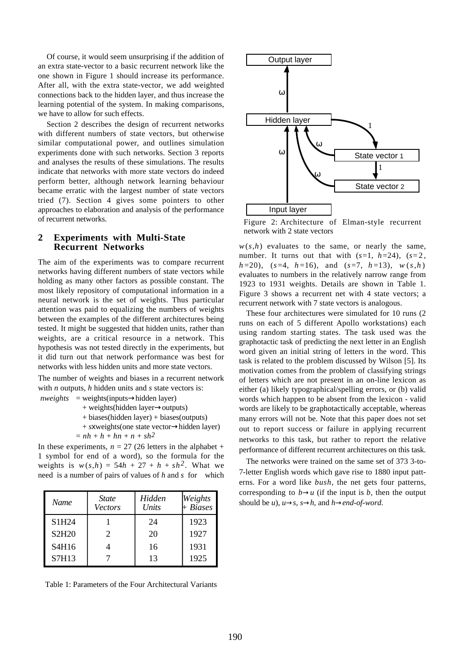Of course, it would seem unsurprising if the addition of an extra state-vector to a basic recurrent network like the one shown in Figure 1 should increase its performance. After all, with the extra state-vector, we add weighted connections back to the hidden layer, and thus increase the learning potential of the system. In making comparisons, we have to allow for such effects.

Section 2 describes the design of recurrent networks with different numbers of state vectors, but otherwise similar computational power, and outlines simulation experiments done with such networks. Section 3 reports and analyses the results of these simulations. The results indicate that networks with more state vectors do indeed perform better, although network learning behaviour became erratic with the largest number of state vectors tried (7). Section 4 gives some pointers to other approaches to elaboration and analysis of the performance of recurrent networks. Figure 2: Architecture of Elman-style recurrent

# **2 Experiments with Multi-State**

The aim of the experiments was to compare recurrent  $h=20$ ,  $(s=4, h=16)$ , and  $(s=7, h=13)$ ,  $w(s,h)$  networks having different numbers of state vectors while holding as many other factors as possible constant. The 1923 to 1931 weights. Details are shown in Table 1.<br>most likely repository of computational information in a neural network is the set of weights. Thus particular recurrent network with 7 state vectors is analogous. attention was paid to equalizing the numbers of weights<br>
These four architectures were simulated for 10 runs (2<br>
these four architectures were simulated for 10 runs (2<br>
these four architectures were simulated for 10 runs (

- -
	-
	-
	- $= nh + h + hn + n + sh^2$
- 1 symbol for end of a word), so the formula for the The networks were trained on the same set of 373 3-to-<br>weights is  $w(s,h) = 54h + 27 + h + sh^2$ . What we<br>need is a number of pairs of values of *h* and *s* for which 7-letter English words which gave rise to 1880 input pattneed is a number of pairs of values of *h* and *s* for which

| <b>Name</b>                    | <b>State</b><br><b>Vectors</b> | Hidden<br>Units | Weights<br>$+ \; Biases$ |
|--------------------------------|--------------------------------|-----------------|--------------------------|
| S1H24                          |                                | 24              | 1923                     |
| <b>S2H20</b>                   | 2                              | 20              | 1927                     |
| S <sub>4</sub> H <sub>16</sub> |                                | 16              | 1931                     |
| <b>S7H13</b>                   |                                | 13              | 1925                     |

Table 1: Parameters of the Four Architectural Variants



network with 2 state vectors

**Recurrent Networks**  $w(s,h)$  evaluates to the same, or nearly the same, number. It turns out that with  $(s=1, h=24)$ ,  $(s=2, h=24)$ evaluates to numbers in the relatively narrow range from Figure 3 shows a recurrent net with 4 state vectors; a

between the examples of the different architectures being runs on each of 5 different Apollo workstations) each tested. It might be suggested that hidden units, rather than units are and an action of the test used was the tested. It might be suggested that hidden units, rather than using random starting states. The task used was the weights, are a critical resource in a network. This appropriate reading the post letter in an English weights, are a critical resource in a network. This graphotactic task of predicting the next letter in an English hypothesis was not tested directly in the experiments, but word given an initial string of latters in the wo hypothesis was not tested directly in the experiments, but word given an initial string of letters in the word. This it did turn out that network performance was best for test is related to the problem discussed by Wilson It did turn out that network performance was best for the stated to the problem discussed by Wilson [5]. Its<br>networks with less hidden units and more state vectors. motivation comes from the problem of classifying strings. The number of weights and biases in a recurrent network of letters which are not present in an on-line lexicon as with *n* outputs, *h* hidden units and *s* state vectors is: either (a) likely typographical/spelling errors, or (b) valid *nweights* = weights(inputs->hidden layer) words which happen to be absent from the lexicon - valid + weights(hidden layer→outputs) words are likely to be graphotactically acceptable, whereas + biases(hidden layer) + biases(outputs) many errors will not be. Note that this paper does not set + *s*xweights(one state vector→hidden layer) out to report success or failure in applying recurrent networks to this task, but rather to report the relative In these experiments,  $n = 27$  (26 letters in the alphabet + performance of different recurrent architectures on this task.

> erns. For a word like *bush*, the net gets four patterns, corresponding to  $b \rightarrow u$  (if the input is *b*, then the output should be *u*),  $u \rightarrow s$ ,  $s \rightarrow h$ , and  $h \rightarrow end\text{-}of\text{-}word$ .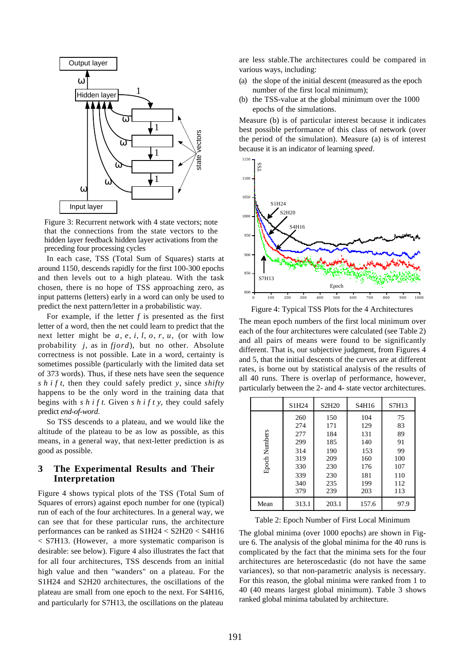

Figure 3: Recurrent network with 4 state vectors; note that the connections from the state vectors to the hidden layer feedback hidden layer activations from the preceding four processing cycles

In each case, TSS (Total Sum of Squares) starts at around 1150, descends rapidly for the first 100-300 epochs and then levels out to a high plateau. With the task chosen, there is no hope of TSS approaching zero, as input patterns (letters) early in a word can only be used to predict the next pattern/letter in a probabilistic way.<br>Figure 4: Typical TSS Plots for the 4 Architectures<br>For example, if the letter f is presented as the first

For example, if the letter f is presented as the first<br>letter of a word, then the net could learn to predict that the<br>next letter might be a, e, i, l, o, r, u, (or with low<br>probability j, as in fjord), but no other. Absol begins with *s h i f t*. Given *s h i f t y*, they could safely predict *end-of-word*.

So TSS descends to a plateau, and we would like the altitude of the plateau to be as low as possible, as this means, in a general way, that next-letter prediction is as good as possible.

### **3 The Experimental Results and Their Interpretation**

Figure 4 shows typical plots of the TSS (Total Sum of Squares of errors) against epoch number for one (typical) run of each of the four architectures. In a general way, we can see that for these particular runs, the architecture Table 2: Epoch Number of First Local Minimum performances can be ranked as  $SIH24 < S2H20 < S4H16$  The global minima (over 1000 epochs) are shown in Figand particularly for S7H13, the oscillations on the plateau

Output layer are less stable. The architectures could be compared in various ways, including:

- (a) the slope of the initial descent (measured as the epoch number of the first local minimum);
- (b) the TSS-value at the global minimum over the 1000 epochs of the simulations.

Measure (b) is of particular interest because it indicates best possible performance of this class of network (over the period of the simulation). Measure (a) is of interest because it is an indicator of learning *speed*.



|                      | S1H24                                                       | S <sub>2</sub> H <sub>20</sub>                              | S <sub>4</sub> H <sub>16</sub>                              | S7H13                                                  |
|----------------------|-------------------------------------------------------------|-------------------------------------------------------------|-------------------------------------------------------------|--------------------------------------------------------|
| <b>Epoch Numbers</b> | 260<br>274<br>277<br>299<br>314<br>319<br>330<br>339<br>340 | 150<br>171<br>184<br>185<br>190<br>209<br>230<br>230<br>235 | 104<br>129<br>131<br>140<br>153<br>160<br>176<br>181<br>199 | 75<br>83<br>89<br>91<br>99<br>100<br>107<br>110<br>112 |
|                      | 379                                                         | 239                                                         | 203                                                         | 113                                                    |
| Mean                 | 313.1                                                       | 203.1                                                       | 157.6                                                       | 97.9                                                   |

< S7H13. (However, a more systematic comparison is ure 6. The analysis of the global minima for the 40 runs is desirable: see below). Figure 4 also illustrates the fact that complicated by the fact that the minima sets for the four for all four architectures, TSS descends from an initial architectures are heteroscedastic (do not have the same high value and then "wanders" on a plateau. For the variances), so that non-parametric analysis is necessary. S1H24 and S2H20 architectures, the oscillations of the For this reason, the global minima were ranked from 1 to plateau are small from one epoch to the next. For  $S4H16$ ,  $\frac{40 (40 \text{ means largest global minimum})}{40 \text{ (1000)}}$ . Table 3 shows rand particularly for  $S7H13$  the oscillations on the plateau ranked global minima tabulated by architecture.